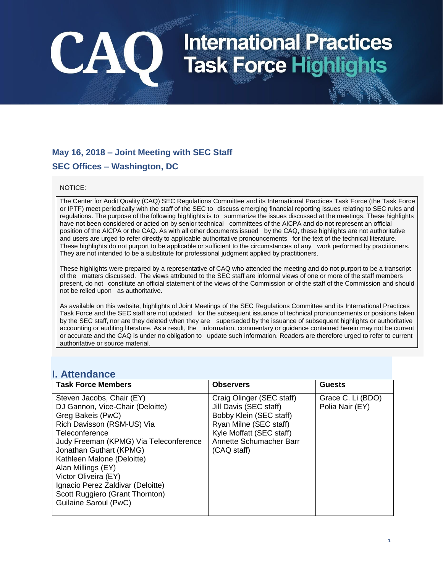### **May 16, 2018 – Joint Meeting with SEC Staff SEC Offices – Washington, DC**

CAO

#### NOTICE:

The Center for Audit Quality (CAQ) SEC Regulations Committee and its International Practices Task Force (the Task Force or IPTF) meet periodically with the staff of the SEC to discuss emerging financial reporting issues relating to SEC rules and regulations. The purpose of the following highlights is to summarize the issues discussed at the meetings. These highlights have not been considered or acted on by senior technical committees of the AICPA and do not represent an official position of the AICPA or the CAQ. As with all other documents issued by the CAQ, these highlights are not authoritative and users are urged to refer directly to applicable authoritative pronouncements for the text of the technical literature. These highlights do not purport to be applicable or sufficient to the circumstances of any work performed by practitioners. They are not intended to be a substitute for professional judgment applied by practitioners.

These highlights were prepared by a representative of CAQ who attended the meeting and do not purport to be a transcript of the matters discussed. The views attributed to the SEC staff are informal views of one or more of the staff members present, do not constitute an official statement of the views of the Commission or of the staff of the Commission and should not be relied upon as authoritative.

As available on this website, highlights of Joint Meetings of the SEC Regulations Committee and its International Practices Task Force and the SEC staff are not updated for the subsequent issuance of technical pronouncements or positions taken by the SEC staff, nor are they deleted when they are superseded by the issuance of subsequent highlights or authoritative accounting or auditing literature. As a result, the information, commentary or guidance contained herein may not be current or accurate and the CAQ is under no obligation to update such information. Readers are therefore urged to refer to current authoritative or source material.

### **I. Attendance**

| <b>Task Force Members</b>                                                                                                                                                                                                                                                                                                                                                            | <b>Observers</b>                                                                                                                                                               | <b>Guests</b>                        |
|--------------------------------------------------------------------------------------------------------------------------------------------------------------------------------------------------------------------------------------------------------------------------------------------------------------------------------------------------------------------------------------|--------------------------------------------------------------------------------------------------------------------------------------------------------------------------------|--------------------------------------|
| Steven Jacobs, Chair (EY)<br>DJ Gannon, Vice-Chair (Deloitte)<br>Greg Bakeis (PwC)<br>Rich Davisson (RSM-US) Via<br>Teleconference<br>Judy Freeman (KPMG) Via Teleconference<br>Jonathan Guthart (KPMG)<br>Kathleen Malone (Deloitte)<br>Alan Millings (EY)<br>Victor Oliveira (EY)<br>Ignacio Perez Zaldivar (Deloitte)<br>Scott Ruggiero (Grant Thornton)<br>Guilaine Saroul (PwC) | Craig Olinger (SEC staff)<br>Jill Davis (SEC staff)<br>Bobby Klein (SEC staff)<br>Ryan Milne (SEC staff)<br>Kyle Moffatt (SEC staff)<br>Annette Schumacher Barr<br>(CAQ staff) | Grace C. Li (BDO)<br>Polia Nair (EY) |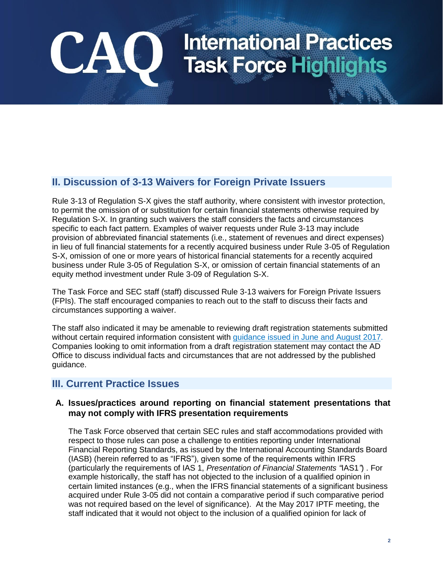### **II. Discussion of 3-13 Waivers for Foreign Private Issuers**

Rule 3-13 of Regulation S-X gives the staff authority, where consistent with investor protection, to permit the omission of or substitution for certain financial statements otherwise required by Regulation S-X. In granting such waivers the staff considers the facts and circumstances specific to each fact pattern. Examples of waiver requests under Rule 3-13 may include provision of abbreviated financial statements (i.e., statement of revenues and direct expenses) in lieu of full financial statements for a recently acquired business under Rule 3-05 of Regulation S-X, omission of one or more years of historical financial statements for a recently acquired business under Rule 3-05 of Regulation S-X, or omission of certain financial statements of an equity method investment under Rule 3-09 of Regulation S-X.

The Task Force and SEC staff (staff) discussed Rule 3-13 waivers for Foreign Private Issuers (FPIs). The staff encouraged companies to reach out to the staff to discuss their facts and circumstances supporting a waiver.

The staff also indicated it may be amenable to reviewing draft registration statements submitted without certain required information consistent with [guidance issued in June and August 2017.](https://www.sec.gov/corpfin/announcement/draft-registration-statement-processing-procedures-expanded) Companies looking to omit information from a draft registration statement may contact the AD Office to discuss individual facts and circumstances that are not addressed by the published guidance.

### **III. Current Practice Issues**

CAO

### **A. Issues/practices around reporting on financial statement presentations that may not comply with IFRS presentation requirements**

The Task Force observed that certain SEC rules and staff accommodations provided with respect to those rules can pose a challenge to entities reporting under International Financial Reporting Standards, as issued by the International Accounting Standards Board (IASB) (herein referred to as "IFRS"), given some of the requirements within IFRS (particularly the requirements of IAS 1, *Presentation of Financial Statements "*IAS1*"*) . For example historically, the staff has not objected to the inclusion of a qualified opinion in certain limited instances (e.g., when the IFRS financial statements of a significant business acquired under Rule 3-05 did not contain a comparative period if such comparative period was not required based on the level of significance). At the May 2017 IPTF meeting, the staff indicated that it would not object to the inclusion of a qualified opinion for lack of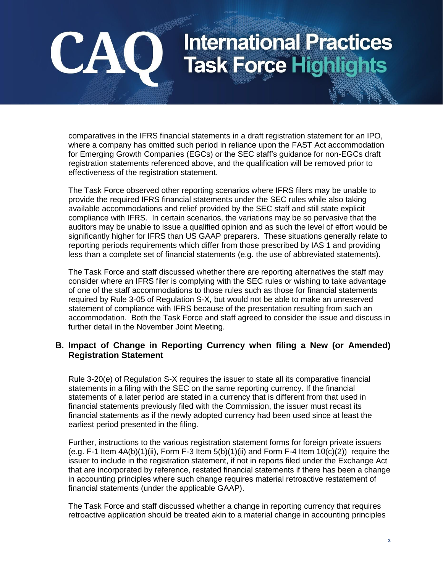comparatives in the IFRS financial statements in a draft registration statement for an IPO, where a company has omitted such period in reliance upon the FAST Act accommodation for Emerging Growth Companies (EGCs) or the SEC staff's guidance for non-EGCs draft registration statements referenced above, and the qualification will be removed prior to effectiveness of the registration statement.

CAO

The Task Force observed other reporting scenarios where IFRS filers may be unable to provide the required IFRS financial statements under the SEC rules while also taking available accommodations and relief provided by the SEC staff and still state explicit compliance with IFRS. In certain scenarios, the variations may be so pervasive that the auditors may be unable to issue a qualified opinion and as such the level of effort would be significantly higher for IFRS than US GAAP preparers. These situations generally relate to reporting periods requirements which differ from those prescribed by IAS 1 and providing less than a complete set of financial statements (e.g. the use of abbreviated statements).

The Task Force and staff discussed whether there are reporting alternatives the staff may consider where an IFRS filer is complying with the SEC rules or wishing to take advantage of one of the staff accommodations to those rules such as those for financial statements required by Rule 3-05 of Regulation S-X, but would not be able to make an unreserved statement of compliance with IFRS because of the presentation resulting from such an accommodation. Both the Task Force and staff agreed to consider the issue and discuss in further detail in the November Joint Meeting.

### **B. Impact of Change in Reporting Currency when filing a New (or Amended) Registration Statement**

Rule 3-20(e) of Regulation S-X requires the issuer to state all its comparative financial statements in a filing with the SEC on the same reporting currency. If the financial statements of a later period are stated in a currency that is different from that used in financial statements previously filed with the Commission, the issuer must recast its financial statements as if the newly adopted currency had been used since at least the earliest period presented in the filing.

Further, instructions to the various registration statement forms for foreign private issuers (e.g. F-1 Item  $4A(b)(1)(ii)$ , Form F-3 Item  $5(b)(1)(ii)$  and Form F-4 Item  $10(c)(2))$  require the issuer to include in the registration statement, if not in reports filed under the Exchange Act that are incorporated by reference, restated financial statements if there has been a change in accounting principles where such change requires material retroactive restatement of financial statements (under the applicable GAAP).

The Task Force and staff discussed whether a change in reporting currency that requires retroactive application should be treated akin to a material change in accounting principles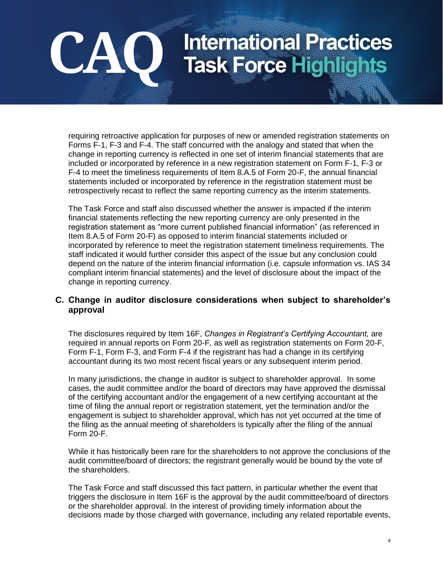requiring retroactive application for purposes of new or amended registration statements on Forms F-1, F-3 and F-4. The staff concurred with the analogy and stated that when the change in reporting currency is reflected in one set of interim financial statements that are included or incorporated by reference in a new registration statement on Form F-1, F-3 or F-4 to meet the timeliness requirements of Item 8.A.5 of Form 20-F, the annual financial statements included or incorporated by reference in the registration statement must be retrospectively recast to reflect the same reporting currency as the interim statements.

CAO

The Task Force and staff also discussed whether the answer is impacted if the interim financial statements reflecting the new reporting currency are only presented in the registration statement as "more current published financial information" (as referenced in Item 8.A.5 of Form 20-F) as opposed to interim financial statements included or incorporated by reference to meet the registration statement timeliness requirements. The staff indicated it would further consider this aspect of the issue but any conclusion could depend on the nature of the interim financial information (i.e. capsule information vs. IAS 34 compliant interim financial statements) and the level of disclosure about the impact of the change in reporting currency.

### **C. Change in auditor disclosure considerations when subject to shareholder's approval**

The disclosures required by Item 16F, *Changes in Registrant's Certifying Accountant,* are required in annual reports on Form 20-F, as well as registration statements on Form 20-F, Form F-1, Form F-3, and Form F-4 if the registrant has had a change in its certifying accountant during its two most recent fiscal years or any subsequent interim period.

In many jurisdictions, the change in auditor is subject to shareholder approval. In some cases, the audit committee and/or the board of directors may have approved the dismissal of the certifying accountant and/or the engagement of a new certifying accountant at the time of filing the annual report or registration statement, yet the termination and/or the engagement is subject to shareholder approval, which has not yet occurred at the time of the filing as the annual meeting of shareholders is typically after the filing of the annual Form 20-F.

While it has historically been rare for the shareholders to not approve the conclusions of the audit committee/board of directors; the registrant generally would be bound by the vote of the shareholders.

The Task Force and staff discussed this fact pattern, in particular whether the event that triggers the disclosure in Item 16F is the approval by the audit committee/board of directors or the shareholder approval. In the interest of providing timely information about the decisions made by those charged with governance, including any related reportable events,